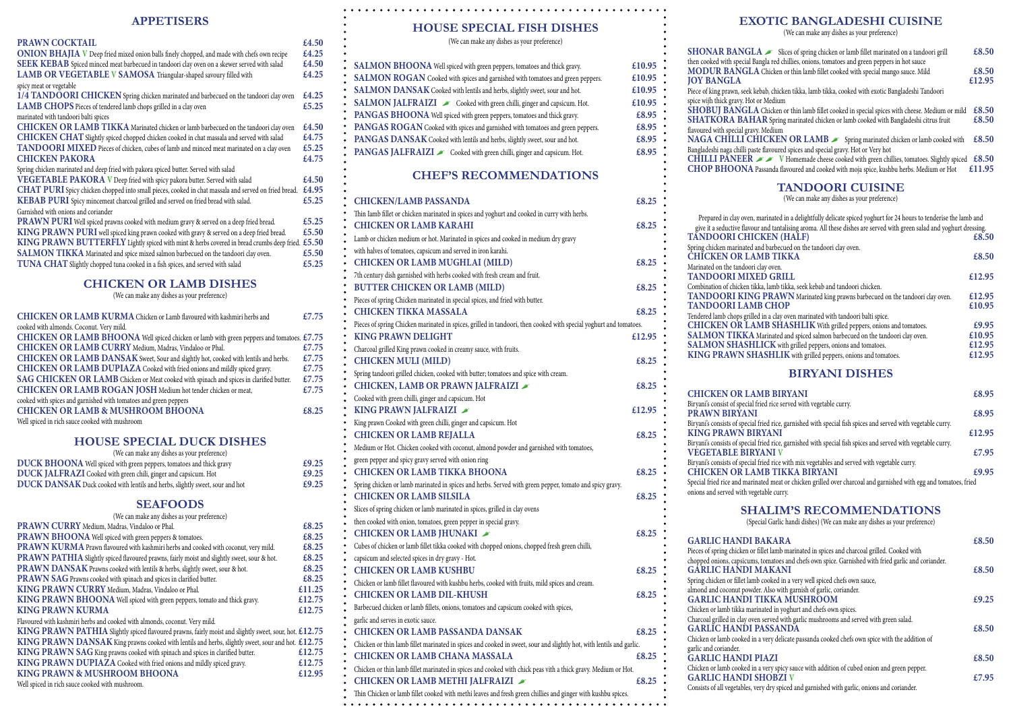# **APPETISERS**

### **PRAWN COCKTAIL £4.50**

| <b>ONION BHAJIA</b> V Deep fried mixed onion balls finely chopped, and made with chefs own recipe    | £4.25 |
|------------------------------------------------------------------------------------------------------|-------|
| <b>SEEK KEBAB</b> Spiced minced meat barbecued in tandoori clay oven on a skewer served with salad   | £4.50 |
| LAMB OR VEGETABLE V SAMOSA Triangular-shaped savoury filled with                                     | £4.25 |
| spicy meat or vegetable                                                                              |       |
| 1/4 TANDOORI CHICKEN Spring chicken marinated and barbecued on the tandoori clay oven                | £4.25 |
| LAMB CHOPS Pieces of tendered lamb chops grilled in a clay oven                                      | £5.25 |
| marinated with tandoori balti spices                                                                 |       |
| CHICKEN OR LAMB TIKKA Marinated chicken or lamb barbecued on the tandoori clay oven                  | £4.50 |
| CHICKEN CHAT Slightly spiced chopped chicken cooked in chat massala and served with salad            | £4.75 |
| TANDOORI MIXED Pieces of chicken, cubes of lamb and minced meat marinated on a clay oven             | £5.25 |
| <b>CHICKEN PAKORA</b>                                                                                | £4.75 |
| Spring chicken marinated and deep fried with pakora spiced butter. Served with salad                 |       |
| VEGETABLE PAKORA V Deep fried with spicy pakora butter. Served with salad                            | £4.50 |
| CHAT PURI Spicy chicken chopped into small pieces, cooked in chat massala and served on fried bread. | £4.95 |
| <b>KEBAB PURI</b> Spicy mincemeat charcoal grilled and served on fried bread with salad.             | £5.25 |
| Garnished with onions and coriander                                                                  |       |
| <b>PRAWN PURI</b> Well spiced prawns cooked with medium gravy & served on a deep fried bread.        | £5.25 |
| KING PRAWN PURI well spiced king prawn cooked with gravy & served on a deep fried bread.             | £5.50 |
| KING PRAWN BUTTERFLY Lightly spiced with mint & herbs covered in bread crumbs deep fried.            | £5.50 |
| <b>SALMON TIKKA</b> Marinated and spice mixed salmon barbecued on the tandoori clay oven.            | £5.50 |
| <b>TUNA CHAT</b> Slightly chopped tuna cooked in a fish spices, and served with salad                | £5.25 |
|                                                                                                      |       |

#### **CHICKEN OR LAMB DISHES**

(We can make any dishes as your preference)

| <b>CHICKEN OR LAMB KURMA</b> Chicken or Lamb flavoured with kashmiri herbs and             | £7.75 |
|--------------------------------------------------------------------------------------------|-------|
| cooked with almonds. Coconut. Very mild.                                                   |       |
| CHICKEN OR LAMB BHOONA Well spiced chicken or lamb with green peppers and tomatoes. £7.75  |       |
| <b>CHICKEN OR LAMB CURRY</b> Medium, Madras, Vindaloo or Phal.                             | £7.75 |
| <b>CHICKEN OR LAMB DANSAK</b> Sweet, Sour and slightly hot, cooked with lentils and herbs. | £7.75 |
| CHICKEN OR LAMB DUPIAZA Cooked with fried onions and mildly spiced gravy.                  | £7.75 |
| SAG CHICKEN OR LAMB Chicken or Meat cooked with spinach and spices in clarified butter.    | £7.75 |
| <b>CHICKEN OR LAMB ROGAN JOSH Medium hot tender chicken or meat,</b>                       | £7.75 |
| cooked with spices and garnished with tomatoes and green peppers                           |       |
| <b>CHICKEN OR LAMB &amp; MUSHROOM BHOONA</b>                                               | £8.25 |
| Well spiced in rich sauce cooked with mushroom                                             |       |

#### **HOUSE SPECIAL DUCK DISHES**

| (We can make any dishes as your preference)                                         |       |
|-------------------------------------------------------------------------------------|-------|
| DUCK BHOONA Well spiced with green peppers, tomatoes and thick gravy                | £9.25 |
| <b>DUCK JALFRAZI</b> Cooked with green chili, ginger and capsicum. Hot              | £9.25 |
| <b>DUCK DANSAK</b> Duck cooked with lentils and herbs, slightly sweet, sour and hot | £9.25 |

# **SEAFOODS**

| (We can make any dishes as your preference)                                                            |        |             |
|--------------------------------------------------------------------------------------------------------|--------|-------------|
| PRAWN CURRY Medium, Madras, Vindaloo or Phal.                                                          | £8.25  | the         |
| PRAWN BHOONA Well spiced with green peppers & tomatoes.                                                | £8.25  | C.          |
| PRAWN KURMA Prawn flavoured with kashmiri herbs and cooked with coconut, very mild.                    | £8.25  | Cu          |
| PRAWN PATHIA Slightly spiced flavoured prawns, fairly moist and slightly sweet, sour & hot.            | £8.25  | cap         |
| PRAWN DANSAK Prawns cooked with lentils & herbs, slightly sweet, sour & hot.                           | £8.25  | $\mathbf C$ |
| PRAWN SAG Prawns cooked with spinach and spices in clarified butter.                                   | £8.25  | Ch          |
| KING PRAWN CURRY Medium, Madras, Vindaloo or Phal.                                                     | £11.25 | $\mathbf C$ |
| KING PRAWN BHOONA Well spiced with green peppers, tomato and thick gravy.                              | £12.75 |             |
| <b>KING PRAWN KURMA</b>                                                                                | £12.75 | Ba          |
| Flavoured with kashmiri herbs and cooked with almonds, coconut. Very mild.                             |        | gar         |
| KING PRAWN PATHIA Slightly spiced flavoured prawns, fairly moist and slightly sweet, sour, hot. £12.75 |        | $\mathbf C$ |
| KING PRAWN DANSAK King prawns cooked with lentils and herbs, slightly sweet, sour and hot. £12.75      |        | Ch          |
| KING PRAWN SAG King prawns cooked with spinach and spices in clarified butter.                         | £12.75 | $\mathbf C$ |
| KING PRAWN DUPIAZA Cooked with fried onions and mildly spiced gravy.                                   | £12.75 |             |
| KING PRAWN & MUSHROOM BHOONA                                                                           | £12.95 | Ch          |
| Well spiced in rich sauce cooked with mushroom.                                                        |        | $\mathbf C$ |
|                                                                                                        |        | Th          |

# **HOUSE SPECIAL FISH DISHES**

(We can make any dishes as your preference)

| SALMON BHOONA Well spiced with green peppers, tomatoes and thick gravy.               | £10.95 |
|---------------------------------------------------------------------------------------|--------|
| <b>SALMON ROGAN</b> Cooked with spices and garnished with tomatoes and green peppers. | £10.95 |
| <b>SALMON DANSAK</b> Cooked with lentils and herbs, slightly sweet, sour and hot.     | £10.95 |
| SALMON JALFRAIZI Cooked with green chilli, ginger and capsicum. Hot.                  | £10.95 |
| PANGAS BHOONA Well spiced with green peppers, tomatoes and thick gravy.               | £8.95  |
| PANGAS ROGAN Cooked with spices and garnished with tomatoes and green peppers.        | £8.95  |
| PANGAS DANSAK Cooked with lentils and herbs, slightly sweet, sour and hot.            | £8.95  |
| PANGAS JALFRAIZI Cooked with green chilli, ginger and capsicum. Hot.                  | £8.95  |

# **CHEF'S RECOMMENDATIONS**

| <b>CHICKEN/LAMB PASSANDA</b>                                                                                         | £8.25  |
|----------------------------------------------------------------------------------------------------------------------|--------|
| Thin Iamb fillet or chicken marinated in spices and yoghurt and cooked in curry with herbs.                          |        |
| <b>CHICKEN OR LAMB KARAHI</b>                                                                                        | £8.25  |
| Lamb or chicken medium or hot. Marinated in spices and cooked in medium dry gravy                                    |        |
| with halves of tomatoes, capsicum and served in iron karahi.                                                         |        |
| <b>CHICKEN OR LAMB MUGHLAI (MILD)</b>                                                                                | £8.25  |
| 7th century dish garnished with herbs cooked with fresh cream and fruit.                                             |        |
| <b>BUTTER CHICKEN OR LAMB (MILD)</b>                                                                                 | £8.25  |
| Pieces of spring Chicken marinated in special spices, and fried with butter.                                         |        |
| <b>CHICKEN TIKKA MASSALA</b>                                                                                         | £8.25  |
| Pieces of spring Chicken marinated in spices, grilled in tandoori, then cooked with special yoghurt and tomatoes.    |        |
| <b>KING PRAWN DELIGHT</b>                                                                                            | £12.95 |
| Charcoal grilled King prawn cooked in creamy sauce, with fruits.                                                     |        |
| <b>CHICKEN MULI (MILD)</b>                                                                                           | £8.25  |
| Spring tandoori grilled chicken, cooked with butter; tomatoes and spice with cream.                                  |        |
| CHICKEN, LAMB OR PRAWN JALFRAIZI                                                                                     | £8.25  |
| Cooked with green chilli, ginger and capsicum. Hot                                                                   |        |
| KING PRAWN JALFRAIZI                                                                                                 | £12.95 |
| King prawn Cooked with green chilli, ginger and capsicum. Hot                                                        |        |
| <b>CHICKEN OR LAMB REJALLA</b>                                                                                       | £8.25  |
| Medium or Hot. Chicken cooked with coconut, almond powder and garnished with tomatoes,                               |        |
| green pepper and spicy gravy served with onion ring                                                                  |        |
| <b>CHICKEN OR LAMB TIKKA BHOONA</b>                                                                                  | £8.25  |
| Spring chicken or lamb marinated in spices and herbs. Served with green pepper, tomato and spicy gravy.              |        |
| <b>CHICKEN OR LAMB SILSILA</b>                                                                                       | £8.25  |
| Slices of spring chicken or lamb marinated in spices, grilled in clay ovens                                          |        |
| then cooked with onion, tomatoes, green pepper in special gravy.                                                     |        |
| CHICKEN OR LAMB JHUNAKI                                                                                              | £8.25  |
| Cubes of chicken or lamb fillet tikka cooked with chopped onions, chopped fresh green chilli,                        |        |
| capsicum and selected spices in dry gravy - Hot.                                                                     |        |
| <b>CHICKEN OR LAMB KUSHBU</b>                                                                                        | £8.25  |
| Chicken or lamb fillet flavoured with kushbu herbs, cooked with fruits, mild spices and cream.                       |        |
| <b>CHICKEN OR LAMB DIL-KHUSH</b>                                                                                     | £8.25  |
| Barbecued chicken or lamb fillets, onions, tomatoes and capsicum cooked with spices,                                 |        |
| garlic and serves in exotic sauce.                                                                                   |        |
| <b>CHICKEN OR LAMB PASSANDA DANSAK</b>                                                                               | £8.25  |
| Chicken or thin lamb fillet marinated in spices and cooked in sweet, sour and slightly hot, with lentils and garlic. |        |
| <b>CHICKEN OR LAMB CHANA MASSALA</b>                                                                                 | £8.25  |
| Chicken or thin lamb fillet marinated in spices and cooked with chick peas vith a thick gravy. Medium or Hot.        |        |
| CHICKEN OR LAMB METHI JALFRAIZI                                                                                      | £8.25  |
| Thin Chicken or lamb fillet cooked with methi leaves and fresh green chillies and ginger with kushbu spices.         |        |
|                                                                                                                      |        |

# **EXOTIC BANGLADESHI CUISINE**

(We can make any dishes as your preference)

|                      | <b>SHONAR BANGLA</b> Slices of spring chicken or lamb fillet marinated on a tandoori grill          | £8.50  |
|----------------------|-----------------------------------------------------------------------------------------------------|--------|
|                      | then cooked with special Bangla red chillies, onions, tomatoes and green peppers in hot sauce       |        |
| $\frac{1}{2}$        | MODUR BANGLA Chicken or thin lamb fillet cooked with special mango sauce. Mild                      | £8.50  |
|                      | <b>JOY BANGLA</b>                                                                                   | £12.95 |
| $\ddot{\phantom{1}}$ | Piece of king prawn, seek kebab, chicken tikka, lamb tikka, cooked with exotic Bangladeshi Tandoori |        |
| b.                   | spice wijh thick gravy. Hot or Medium                                                               |        |
|                      | SHOBUI BANGLA Chicken or thin lamb fillet cooked in special spices with cheese. Medium or mild      | £8.50  |
|                      | SHATKORA BAHAR Spring marinated chicken or lamb cooked with Bangladeshi citrus fruit                | £8.50  |
|                      | flavoured with special gravy. Medium                                                                |        |
| b.                   | NAGA CHILLI CHICKEN OR LAMB Spring marinated chicken or lamb cooked with                            | £8.50  |
| . :                  | Bangladeshi naga chilli paste flavoured spices and special gravy. Hot or Very hot                   |        |
|                      | <b>CHILLI PANEER</b> F V Homemade cheese cooked with green chillies, tomatoes. Slightly spiced      | £8.50  |
|                      | CHOP BHOONA Passanda flavoured and cooked with moja spice, kushbu herbs. Medium or Hot              | £11.95 |
|                      |                                                                                                     |        |

# **TANDOORI CUISINE**

(We can make any dishes as your preference)

| Prepared in clay oven, marinated in a delightfully delicate spiced yoghurt for 24 hours to tenderise the lamb and     |        |
|-----------------------------------------------------------------------------------------------------------------------|--------|
| give it a seductive flavour and tantalising aroma. All these dishes are served with green salad and yoghurt dressing. |        |
| TÁNDOORI CHICKEN (HALF)                                                                                               | £8.50  |
| Spring chicken marinated and barbecued on the tandoori clay oven.                                                     |        |
| <b>CHICKEN OR LAMB TIKKA</b>                                                                                          | £8.50  |
| Marinated on the tandoori clay oven.                                                                                  |        |
| <b>TANDOORI MIXED GRILL</b>                                                                                           | £12.95 |
| Combination of chicken tikka, lamb tikka, seek kebab and tandoori chicken.                                            |        |
| TANDOORI KING PRAWN Marinated king prawns barbecued on the tandoori clay oven.                                        | £12.95 |
| <b>TANDOORI LAMB CHOP</b>                                                                                             | £10.95 |
| Tendered lamb chops grilled in a clay oven marinated with tandoori balti spice.                                       |        |
| <b>CHICKEN OR LAMB SHASHLIK</b> With grilled peppers, onions and tomatoes.                                            | £9.95  |
| <b>SALMON TIKKA</b> Marinated and spiced salmon barbecued on the tandoori clay oven.                                  | £10.95 |
| <b>SALMON SHASHLICK</b> with grilled peppers, onions and tomatoes.                                                    | £12.95 |
| KING PRAWN SHASHLIK with grilled peppers, onions and tomatoes.                                                        | £12.95 |
|                                                                                                                       |        |

# **BIRYANI DISHES**

| <b>CHICKEN OR LAMB BIRYANI</b>                                                                                                              | £8.95  |
|---------------------------------------------------------------------------------------------------------------------------------------------|--------|
| Biryani's consist of special fried rice served with vegetable curry.<br><b>PRAWN BIRYANI</b>                                                | £8.95  |
|                                                                                                                                             |        |
| Biryani's consists of special fried rice, garnished with special fish spices and served with vegetable curry.<br><b>KING PRAWN BIRYANI</b>  | £12.95 |
| Biryani's consists of special fried rice, garnished with special fish spices and served with vegetable curry.<br><b>VEGETABLE BIRYANI V</b> | £7.95  |
| Biryani's consists of special fried rice with mix vegetables and served with vegetable curry.<br><b>CHICKEN OR LAMB TIKKA BIRYANI</b>       | £9.95  |
| Special fried rice and marinated meat or chicken grilled over charcoal and garnished with egg and tomatoes, fried                           |        |
| onions and served with vegetable curry.                                                                                                     |        |

## **SHALIM'S RECOMMENDATIONS**

(Special Garlic handi dishes) (We can make any dishes as your preference)

| <b>GARLIC HANDI BAKARA</b>                                                                          | £8.50 |
|-----------------------------------------------------------------------------------------------------|-------|
| Pieces of spring chicken or fillet lamb marinated in spices and charcoal grilled. Cooked with       |       |
| chopped onions, capsicums, tomatoes and chefs own spice. Garnished with fried garlic and coriander. |       |
| <b>GARLIC HANDI MAKANI</b>                                                                          | £8.50 |
| Spring chicken or fillet lamb cooked in a very well spiced chefs own sauce,                         |       |
| almond and coconut powder. Also with garnish of garlic, coriander.                                  |       |
| <b>GARLIC HANDI TIKKA MUSHROOM</b>                                                                  | £9.25 |
| Chicken or lamb tikka marinated in yoghurt and chefs own spices.                                    |       |
| Charcoal grilled in clay oven served with garlic mushrooms and served with green salad.             |       |
| <b>GARLIC HANDI PASSANDA</b>                                                                        | £8.50 |
| Chicken or lamb cooked in a very delicate passanda cooked chefs own spice with the addition of      |       |
| garlic and coriander.                                                                               |       |
| <b>GARLIC HANDI PIAZI</b>                                                                           | £8.50 |
| Chicken or lamb cooked in a very spicy sauce with addition of cubed onion and green pepper.         |       |
| <b>GARLIC HANDI SHOBZI V</b>                                                                        | £7.95 |
| Consists of all vegetables, very dry spiced and garnished with garlic, onions and coriander.        |       |
|                                                                                                     |       |